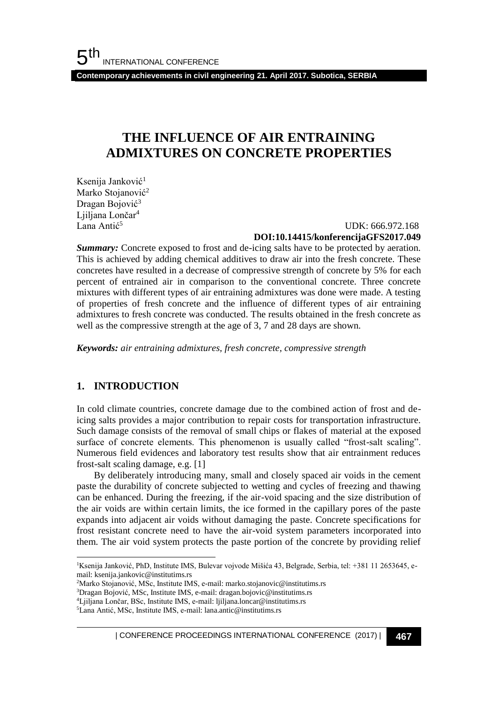**Contemporary achievements in civil engineering 21. April 2017. Subotica, SERBIA**

## **THE INFLUENCE OF AIR ENTRAINING ADMIXTURES ON CONCRETE PROPERTIES**

Ksenija Janković<sup>1</sup> Marko Stojanović<sup>2</sup> Dragan Bojović<sup>3</sup> Liiliana Lončar<sup>4</sup> Lana Antić<sup>5</sup>

#### UDK: 666.972.168 **DOI:10.14415/konferencijaGFS2017.049**

**Summary:** Concrete exposed to frost and de-icing salts have to be protected by aeration. This is achieved by adding chemical additives to draw air into the fresh concrete. These concretes have resulted in a decrease of compressive strength of concrete by 5% for each percent of entrained air in comparison to the conventional concrete. Three concrete mixtures with different types of air entraining admixtures was done were made. A testing of properties of fresh concrete and the influence of different types of air entraining admixtures to fresh concrete was conducted. The results obtained in the fresh concrete as well as the compressive strength at the age of 3, 7 and 28 days are shown.

*Keywords: air entraining admixtures, fresh concrete, compressive strength*

#### **1. INTRODUCTION**

l

In cold climate countries, concrete damage due to the combined action of frost and deicing salts provides a major contribution to repair costs for transportation infrastructure. Such damage consists of the removal of small chips or flakes of material at the exposed surface of concrete elements. This phenomenon is usually called "frost-salt scaling". Numerous field evidences and laboratory test results show that air entrainment reduces frost-salt scaling damage, e.g. [1]

By deliberately introducing many, small and closely spaced air voids in the cement paste the durability of concrete subjected to wetting and cycles of freezing and thawing can be enhanced. During the freezing, if the air-void spacing and the size distribution of the air voids are within certain limits, the ice formed in the capillary pores of the paste expands into adjacent air voids without damaging the paste. Concrete specifications for frost resistant concrete need to have the air-void system parameters incorporated into them. The air void system protects the paste portion of the concrete by providing relief

<sup>&</sup>lt;sup>1</sup>Ksenija Janković, PhD, Institute IMS, Bulevar vojvode Mišića 43, Belgrade, Serbia, tel: +381 11 2653645, email: ksenija.jankovic@institutims.rs

<sup>2</sup>Marko Stojanović, MSc, Institute IMS, e-mail: marko.stojanovic@institutims.rs

<sup>3</sup>Dragan Bojović, MSc, Institute IMS, e-mail: dragan.bojovic@institutims.rs

<sup>4</sup>Ljiljana Lončar, BSc, Institute IMS, e-mail: ljiljana.loncar@institutims.rs

<sup>5</sup>Lana Antić, MSc, Institute IMS, e-mail: lana.antic@institutims.rs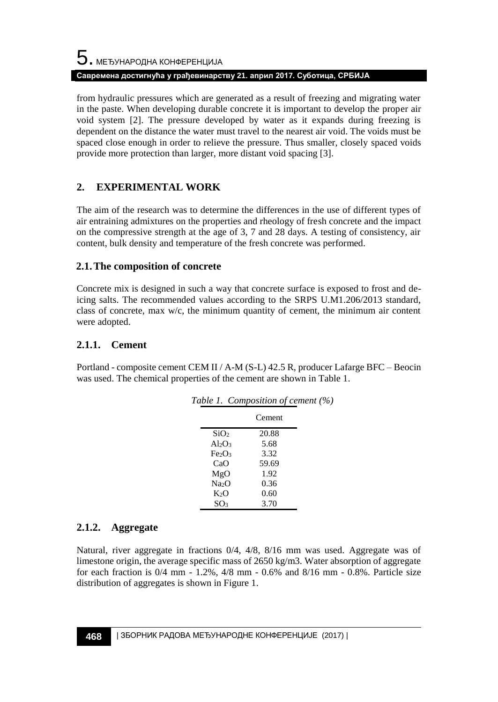from hydraulic pressures which are generated as a result of freezing and migrating water in the paste. When developing durable concrete it is important to develop the proper air void system [2]. The pressure developed by water as it expands during freezing is dependent on the distance the water must travel to the nearest air void. The voids must be spaced close enough in order to relieve the pressure. Thus smaller, closely spaced voids provide more protection than larger, more distant void spacing [3].

## **2. EXPERIMENTAL WORK**

The aim of the research was to determine the differences in the use of different types of air entraining admixtures on the properties and rheology of fresh concrete and the impact on the compressive strength at the age of 3, 7 and 28 days. A testing of consistency, air content, bulk density and temperature of the fresh concrete was performed.

#### **2.1.The composition of concrete**

Concrete mix is designed in such a way that concrete surface is exposed to frost and deicing salts. The recommended values according to the SRPS U.M1.206/2013 standard, class of concrete, max w/c, the minimum quantity of cement, the minimum air content were adopted.

### **2.1.1. Cement**

Portland - composite cement CEM II / A-M (S-L) 42.5 R, producer Lafarge BFC – Beocin was used. The chemical properties of the cement are shown in Table 1.

|                                | Table 1. Composition of cement (%) |  |
|--------------------------------|------------------------------------|--|
|                                | Cement                             |  |
| SiO <sub>2</sub>               | 20.88                              |  |
| $Al_2O_3$                      | 5.68                               |  |
| Fe <sub>2</sub> O <sub>3</sub> | 3.32                               |  |
| CaO                            | 59.69                              |  |
| MgO                            | 1.92                               |  |
| Na <sub>2</sub> O              | 0.36                               |  |
| $K_2O$                         | 0.60                               |  |
| SO3                            | 3.70                               |  |

### **2.1.2. Aggregate**

Natural, river aggregate in fractions 0/4, 4/8, 8/16 mm was used. Aggregate was of limestone origin, the average specific mass of 2650 kg/m3. Water absorption of aggregate for each fraction is 0/4 mm - 1.2%, 4/8 mm - 0.6% and 8/16 mm - 0.8%. Particle size distribution of aggregates is shown in Figure 1.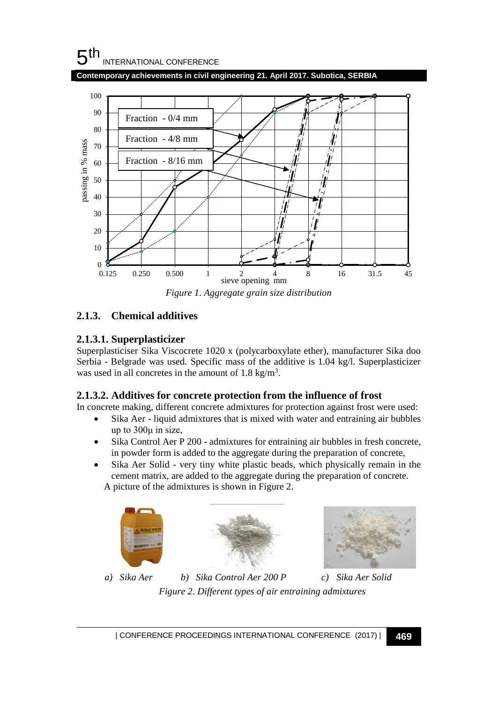#### 5 th INTERNATIONAL CONFERENCE

**Contemporary achievements in civil engineering 21. April 2017. Subotica, SERBIA**



*Figure 1. Aggregate grain size distribution* 

## **2.1.3. Chemical additives**

## **2.1.3.1. Superplasticizer**

Superplasticiser Sika Viscocrete 1020 x (polycarboxylate ether), manufacturer Sika doo Serbia - Belgrade was used. Specific mass of the additive is 1.04 kg/l. Superplasticizer was used in all concretes in the amount of  $1.8 \text{ kg/m}^3$ .

## **2.1.3.2. Additives for concrete protection from the influence of frost**

In concrete making, different concrete admixtures for protection against frost were used:

- Sika Aer liquid admixtures that is mixed with water and entraining air bubbles up to 300μ in size,
- Sika Control Aer P 200 admixtures for entraining air bubbles in fresh concrete, in powder form is added to the aggregate during the preparation of concrete,
- Sika Aer Solid very tiny white plastic beads, which physically remain in the cement matrix, are added to the aggregate during the preparation of concrete. A picture of the admixtures is shown in Figure 2.







*a) Sika Aer b) Sika Control Aer 200 P c) Sika Aer Solid Figure 2. Different types of air entraining admixtures*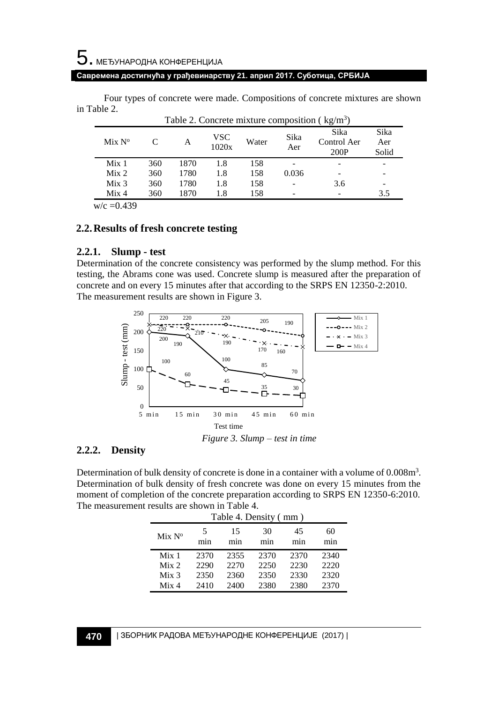# 5. МЕЂУНАРОДНА КОНФЕРЕНЦИЈА

#### **Савремена достигнућа у грађевинарству 21. април 2017. Суботица, СРБИЈА**

Four types of concrete were made. Compositions of concrete mixtures are shown in Table 2.

| Table 2. Concrete mixture composition ( $kg/m3$ ) |     |      |              |       |             |                             |                      |
|---------------------------------------------------|-----|------|--------------|-------|-------------|-----------------------------|----------------------|
| Mix N <sup>o</sup>                                |     | A    | VSC<br>1020x | Water | Sika<br>Aer | Sika<br>Control Aer<br>200P | Sika<br>Aer<br>Solid |
| Mix <sub>1</sub>                                  | 360 | 1870 | 1.8          | 158   |             |                             |                      |
| Mix <sub>2</sub>                                  | 360 | 1780 | 1.8          | 158   | 0.036       |                             |                      |
| Mix <sub>3</sub>                                  | 360 | 1780 | 1.8          | 158   |             | 3.6                         |                      |
| Mix <sub>4</sub>                                  | 360 | 1870 | 1.8          | 158   |             |                             | 3.5                  |

 $w/c = 0.439$ 

#### **2.2.Results of fresh concrete testing**

#### **2.2.1. Slump - test**

Determination of the concrete consistency was performed by the slump method. For this testing, the Abrams cone was used. Concrete slump is measured after the preparation of concrete and on every 15 minutes after that according to the SRPS EN 12350-2:2010. The measurement results are shown in Figure 3.



#### **2.2.2. Density**

Determination of bulk density of concrete is done in a container with a volume of 0.008m<sup>3</sup>. Determination of bulk density of fresh concrete was done on every 15 minutes from the moment of completion of the concrete preparation according to SRPS EN 12350-6:2010. The measurement results are shown in Table 4.

| Table 4. Density (mm) |          |           |           |           |           |
|-----------------------|----------|-----------|-----------|-----------|-----------|
| Mix N <sup>o</sup>    | 5<br>mın | 15<br>mın | 30<br>mın | 45<br>mın | 60<br>mın |
| Mix <sub>1</sub>      | 2370     | 2355      | 2370      | 2370      | 2340      |
| Mix 2                 | 2290     | 22.70     | 2250      | 2230      | 2220      |
| Mix <sub>3</sub>      | 2350     | 2360      | 2350      | 2330      | 2320      |
| Mix <sub>4</sub>      | 2410     | 2400      | 2380      | 2380      | 2370      |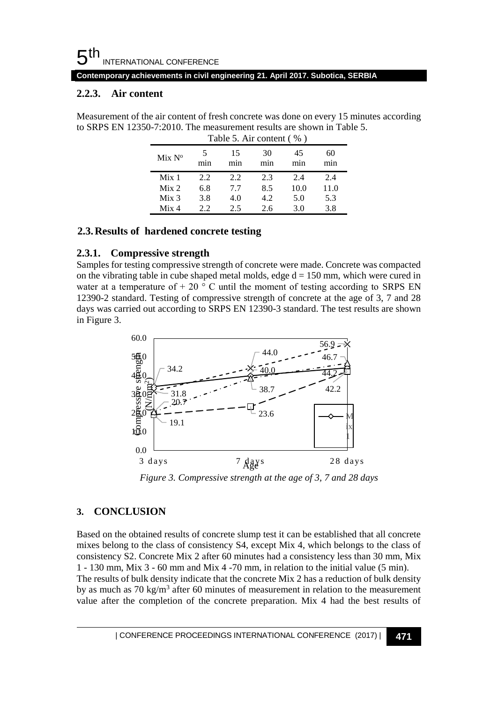#### 5 th INTERNATIONAL CONFERENCE

**Contemporary achievements in civil engineering 21. April 2017. Subotica, SERBIA**

#### **2.2.3. Air content**

Measurement of the air content of fresh concrete was done on every 15 minutes according to SRPS EN 12350-7:2010. The measurement results are shown in Table 5.

| Table 5. Air content (%) |      |      |      |      |           |
|--------------------------|------|------|------|------|-----------|
| Mix N <sup>o</sup>       | mın  | 15   | 30   | 45   | 60<br>mın |
| Mix <sub>1</sub>         | 2.2. | 2.2. | 2.3  | 2.4  | 2.4       |
| Mix 2                    | 6.8  | 7.7  | 8.5  | 10.0 | 11.0      |
| Mix <sub>3</sub>         | 3.8  | 4.0  | 4.2. | 5.0  | 5.3       |
| Mix 4                    | 22   | 2.5  | 2.6  | 3.0  | 3.8       |

#### **2.3.Results of hardened concrete testing**

#### **2.3.1. Compressive strength**

Samples for testing compressive strength of concrete were made. Concrete was compacted on the vibrating table in cube shaped metal molds, edge  $d = 150$  mm, which were cured in water at a temperature of  $+ 20$  ° C until the moment of testing according to SRPS EN 12390-2 standard. Testing of compressive strength of concrete at the age of 3, 7 and 28 days was carried out according to SRPS EN 12390-3 standard. The test results are shown in Figure 3.



*Figure 3. Compressive strength at the age of 3, 7 and 28 days* 

### **3. CONCLUSION**

Based on the obtained results of concrete slump test it can be established that all concrete mixes belong to the class of consistency S4, except Mix 4, which belongs to the class of consistency S2. Concrete Mix 2 after 60 minutes had a consistency less than 30 mm, Mix 1 - 130 mm, Mix 3 - 60 mm and Mix 4 -70 mm, in relation to the initial value (5 min). The results of bulk density indicate that the concrete Mix 2 has a reduction of bulk density by as much as  $70 \text{ kg/m}^3$  after 60 minutes of measurement in relation to the measurement value after the completion of the concrete preparation. Mix 4 had the best results of